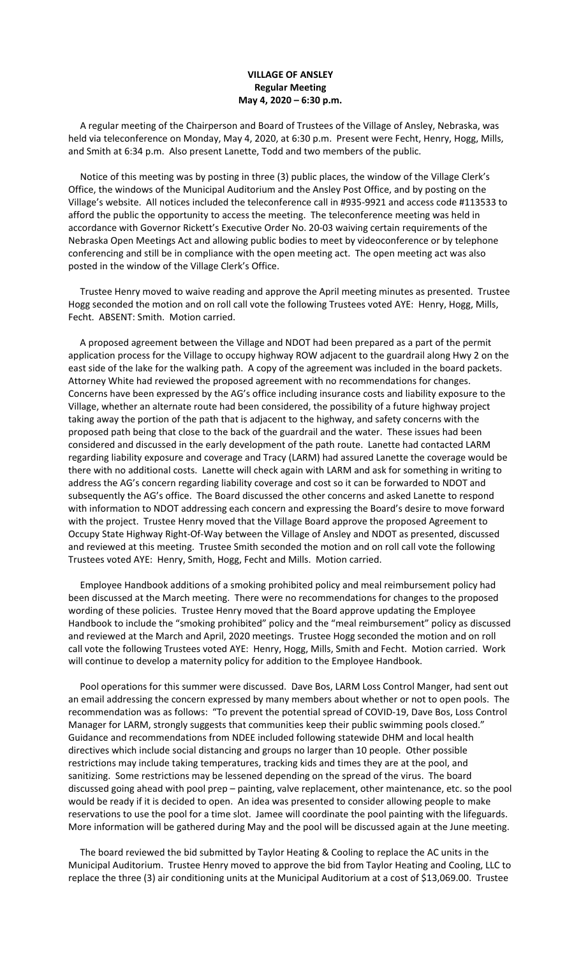## **VILLAGE OF ANSLEY Regular Meeting May 4, 2020 – 6:30 p.m.**

 A regular meeting of the Chairperson and Board of Trustees of the Village of Ansley, Nebraska, was held via teleconference on Monday, May 4, 2020, at 6:30 p.m. Present were Fecht, Henry, Hogg, Mills, and Smith at 6:34 p.m. Also present Lanette, Todd and two members of the public.

 Notice of this meeting was by posting in three (3) public places, the window of the Village Clerk's Office, the windows of the Municipal Auditorium and the Ansley Post Office, and by posting on the Village's website. All notices included the teleconference call in #935-9921 and access code #113533 to afford the public the opportunity to access the meeting. The teleconference meeting was held in accordance with Governor Rickett's Executive Order No. 20-03 waiving certain requirements of the Nebraska Open Meetings Act and allowing public bodies to meet by videoconference or by telephone conferencing and still be in compliance with the open meeting act. The open meeting act was also posted in the window of the Village Clerk's Office.

 Trustee Henry moved to waive reading and approve the April meeting minutes as presented. Trustee Hogg seconded the motion and on roll call vote the following Trustees voted AYE: Henry, Hogg, Mills, Fecht. ABSENT: Smith. Motion carried.

 A proposed agreement between the Village and NDOT had been prepared as a part of the permit application process for the Village to occupy highway ROW adjacent to the guardrail along Hwy 2 on the east side of the lake for the walking path. A copy of the agreement was included in the board packets. Attorney White had reviewed the proposed agreement with no recommendations for changes. Concerns have been expressed by the AG's office including insurance costs and liability exposure to the Village, whether an alternate route had been considered, the possibility of a future highway project taking away the portion of the path that is adjacent to the highway, and safety concerns with the proposed path being that close to the back of the guardrail and the water. These issues had been considered and discussed in the early development of the path route. Lanette had contacted LARM regarding liability exposure and coverage and Tracy (LARM) had assured Lanette the coverage would be there with no additional costs. Lanette will check again with LARM and ask for something in writing to address the AG's concern regarding liability coverage and cost so it can be forwarded to NDOT and subsequently the AG's office. The Board discussed the other concerns and asked Lanette to respond with information to NDOT addressing each concern and expressing the Board's desire to move forward with the project. Trustee Henry moved that the Village Board approve the proposed Agreement to Occupy State Highway Right-Of-Way between the Village of Ansley and NDOT as presented, discussed and reviewed at this meeting. Trustee Smith seconded the motion and on roll call vote the following Trustees voted AYE: Henry, Smith, Hogg, Fecht and Mills. Motion carried.

 Employee Handbook additions of a smoking prohibited policy and meal reimbursement policy had been discussed at the March meeting. There were no recommendations for changes to the proposed wording of these policies. Trustee Henry moved that the Board approve updating the Employee Handbook to include the "smoking prohibited" policy and the "meal reimbursement" policy as discussed and reviewed at the March and April, 2020 meetings. Trustee Hogg seconded the motion and on roll call vote the following Trustees voted AYE: Henry, Hogg, Mills, Smith and Fecht. Motion carried. Work will continue to develop a maternity policy for addition to the Employee Handbook.

 Pool operations for this summer were discussed. Dave Bos, LARM Loss Control Manger, had sent out an email addressing the concern expressed by many members about whether or not to open pools. The recommendation was as follows: "To prevent the potential spread of COVID-19, Dave Bos, Loss Control Manager for LARM, strongly suggests that communities keep their public swimming pools closed." Guidance and recommendations from NDEE included following statewide DHM and local health directives which include social distancing and groups no larger than 10 people. Other possible restrictions may include taking temperatures, tracking kids and times they are at the pool, and sanitizing. Some restrictions may be lessened depending on the spread of the virus. The board discussed going ahead with pool prep – painting, valve replacement, other maintenance, etc. so the pool would be ready if it is decided to open. An idea was presented to consider allowing people to make reservations to use the pool for a time slot. Jamee will coordinate the pool painting with the lifeguards. More information will be gathered during May and the pool will be discussed again at the June meeting.

 The board reviewed the bid submitted by Taylor Heating & Cooling to replace the AC units in the Municipal Auditorium. Trustee Henry moved to approve the bid from Taylor Heating and Cooling, LLC to replace the three (3) air conditioning units at the Municipal Auditorium at a cost of \$13,069.00. Trustee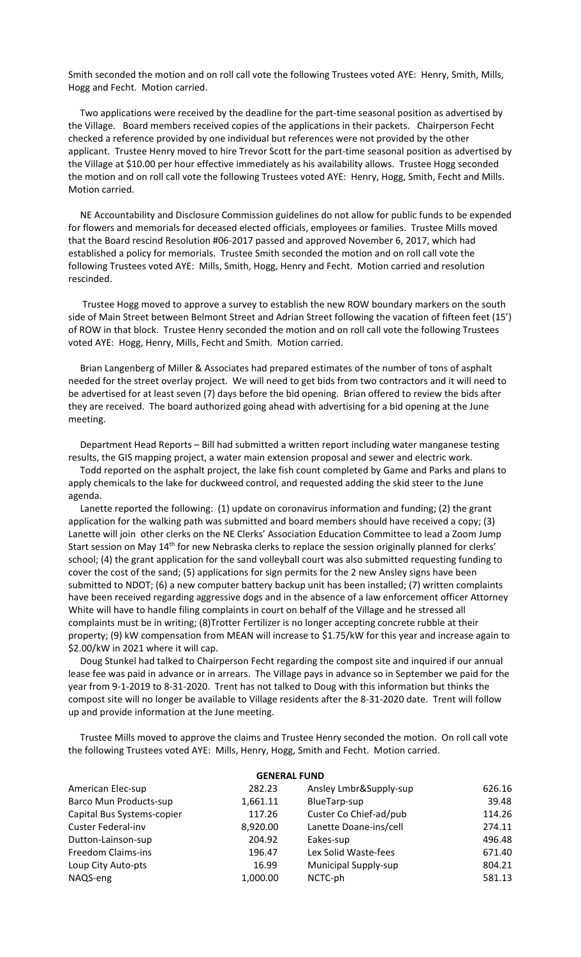Smith seconded the motion and on roll call vote the following Trustees voted AYE: Henry, Smith, Mills, Hogg and Fecht. Motion carried.

 Two applications were received by the deadline for the part-time seasonal position as advertised by the Village. Board members received copies of the applications in their packets. Chairperson Fecht checked a reference provided by one individual but references were not provided by the other applicant. Trustee Henry moved to hire Trevor Scott for the part-time seasonal position as advertised by the Village at \$10.00 per hour effective immediately as his availability allows. Trustee Hogg seconded the motion and on roll call vote the following Trustees voted AYE: Henry, Hogg, Smith, Fecht and Mills. Motion carried.

 NE Accountability and Disclosure Commission guidelines do not allow for public funds to be expended for flowers and memorials for deceased elected officials, employees or families. Trustee Mills moved that the Board rescind Resolution #06-2017 passed and approved November 6, 2017, which had established a policy for memorials. Trustee Smith seconded the motion and on roll call vote the following Trustees voted AYE: Mills, Smith, Hogg, Henry and Fecht. Motion carried and resolution rescinded.

 Trustee Hogg moved to approve a survey to establish the new ROW boundary markers on the south side of Main Street between Belmont Street and Adrian Street following the vacation of fifteen feet (15') of ROW in that block. Trustee Henry seconded the motion and on roll call vote the following Trustees voted AYE: Hogg, Henry, Mills, Fecht and Smith. Motion carried.

 Brian Langenberg of Miller & Associates had prepared estimates of the number of tons of asphalt needed for the street overlay project. We will need to get bids from two contractors and it will need to be advertised for at least seven (7) days before the bid opening. Brian offered to review the bids after they are received. The board authorized going ahead with advertising for a bid opening at the June meeting.

 Department Head Reports – Bill had submitted a written report including water manganese testing results, the GIS mapping project, a water main extension proposal and sewer and electric work.

 Todd reported on the asphalt project, the lake fish count completed by Game and Parks and plans to apply chemicals to the lake for duckweed control, and requested adding the skid steer to the June agenda.

 Lanette reported the following: (1) update on coronavirus information and funding; (2) the grant application for the walking path was submitted and board members should have received a copy; (3) Lanette will join other clerks on the NE Clerks' Association Education Committee to lead a Zoom Jump Start session on May 14<sup>th</sup> for new Nebraska clerks to replace the session originally planned for clerks' school; (4) the grant application for the sand volleyball court was also submitted requesting funding to cover the cost of the sand; (5) applications for sign permits for the 2 new Ansley signs have been submitted to NDOT; (6) a new computer battery backup unit has been installed; (7) written complaints have been received regarding aggressive dogs and in the absence of a law enforcement officer Attorney White will have to handle filing complaints in court on behalf of the Village and he stressed all complaints must be in writing; (8)Trotter Fertilizer is no longer accepting concrete rubble at their property; (9) kW compensation from MEAN will increase to \$1.75/kW for this year and increase again to \$2.00/kW in 2021 where it will cap.

 Doug Stunkel had talked to Chairperson Fecht regarding the compost site and inquired if our annual lease fee was paid in advance or in arrears. The Village pays in advance so in September we paid for the year from 9-1-2019 to 8-31-2020. Trent has not talked to Doug with this information but thinks the compost site will no longer be available to Village residents after the 8-31-2020 date. Trent will follow up and provide information at the June meeting.

 Trustee Mills moved to approve the claims and Trustee Henry seconded the motion. On roll call vote the following Trustees voted AYE: Mills, Henry, Hogg, Smith and Fecht. Motion carried.

| <b>GENERAL FUND</b>           |          |                             |        |  |  |
|-------------------------------|----------|-----------------------------|--------|--|--|
| American Elec-sup             | 282.23   | Ansley Lmbr&Supply-sup      | 626.16 |  |  |
| <b>Barco Mun Products-sup</b> | 1,661.11 | BlueTarp-sup                | 39.48  |  |  |
| Capital Bus Systems-copier    | 117.26   | Custer Co Chief-ad/pub      | 114.26 |  |  |
| <b>Custer Federal-inv</b>     | 8,920.00 | Lanette Doane-ins/cell      | 274.11 |  |  |
| Dutton-Lainson-sup            | 204.92   | Eakes-sup                   | 496.48 |  |  |
| Freedom Claims-ins            | 196.47   | Lex Solid Waste-fees        | 671.40 |  |  |
| Loup City Auto-pts            | 16.99    | <b>Municipal Supply-sup</b> | 804.21 |  |  |
| NAQS-eng                      | 1,000.00 | NCTC-ph                     | 581.13 |  |  |
|                               |          |                             |        |  |  |